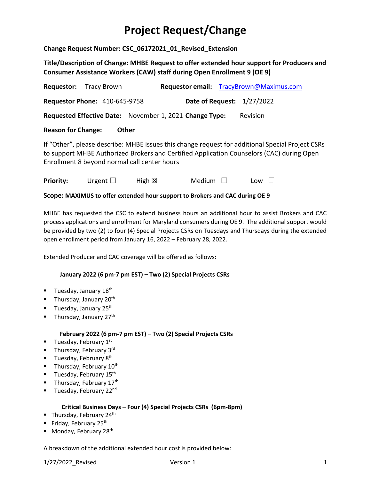# **Project Request/Change**

**Change Request Number: CSC\_06172021\_01\_Revised\_Extension**

**Title/Description of Change: MHBE Request to offer extended hour support for Producers and Consumer Assistance Workers (CAW) staff during Open Enrollment 9 (OE 9)**

| <b>Requestor:</b> Tracy Brown                                                                                                                                                                                                                 |                                                         | Requestor email: TracyBrown@Maximus.com |  |  |  |
|-----------------------------------------------------------------------------------------------------------------------------------------------------------------------------------------------------------------------------------------------|---------------------------------------------------------|-----------------------------------------|--|--|--|
| <b>Requestor Phone: 410-645-9758</b>                                                                                                                                                                                                          |                                                         | <b>Date of Request: 1/27/2022</b>       |  |  |  |
|                                                                                                                                                                                                                                               | Requested Effective Date: November 1, 2021 Change Type: | <b>Revision</b>                         |  |  |  |
| <b>Reason for Change:</b>                                                                                                                                                                                                                     | Other                                                   |                                         |  |  |  |
| If "Other", please describe: MHBE issues this change request for additional Special Project CSRs<br>to support MHBE Authorized Brokers and Certified Application Counselors (CAC) during Open<br>Enrollment 8 beyond normal call center hours |                                                         |                                         |  |  |  |

**Priority:** Urgent □ High ⊠ Medium □ Low □

**Scope: MAXIMUS to offer extended hour support to Brokers and CAC during OE 9**

MHBE has requested the CSC to extend business hours an additional hour to assist Brokers and CAC process applications and enrollment for Maryland consumers during OE 9. The additional support would be provided by two (2) to four (4) Special Projects CSRs on Tuesdays and Thursdays during the extended open enrollment period from January 16, 2022 – February 28, 2022.

Extended Producer and CAC coverage will be offered as follows:

#### **January 2022 (6 pm‐7 pm EST) – Two (2) Special Projects CSRs**

- **Tuesday, January 18**<sup>th</sup>
- Thursday, January  $20<sup>th</sup>$
- **Tuesday, January 25**<sup>th</sup>
- Thursday, January  $27<sup>th</sup>$

#### **February 2022 (6 pm‐7 pm EST) – Two (2) Special Projects CSRs**

- **Tuesday, February 1st**
- Thursday, February  $3^{\text{rd}}$
- **Tuesday, February 8th**
- Thursday, February  $10^{th}$
- **Tuesday, February 15th**
- Thursday, February 17<sup>th</sup>
- Tuesday, February 22<sup>nd</sup>

#### **Critical Business Days – Four (4) Special Projects CSRs (6pm‐8pm)**

- Thursday, February 24<sup>th</sup>
- Friday, February 25<sup>th</sup>
- Monday, February 28<sup>th</sup>

A breakdown of the additional extended hour cost is provided below: